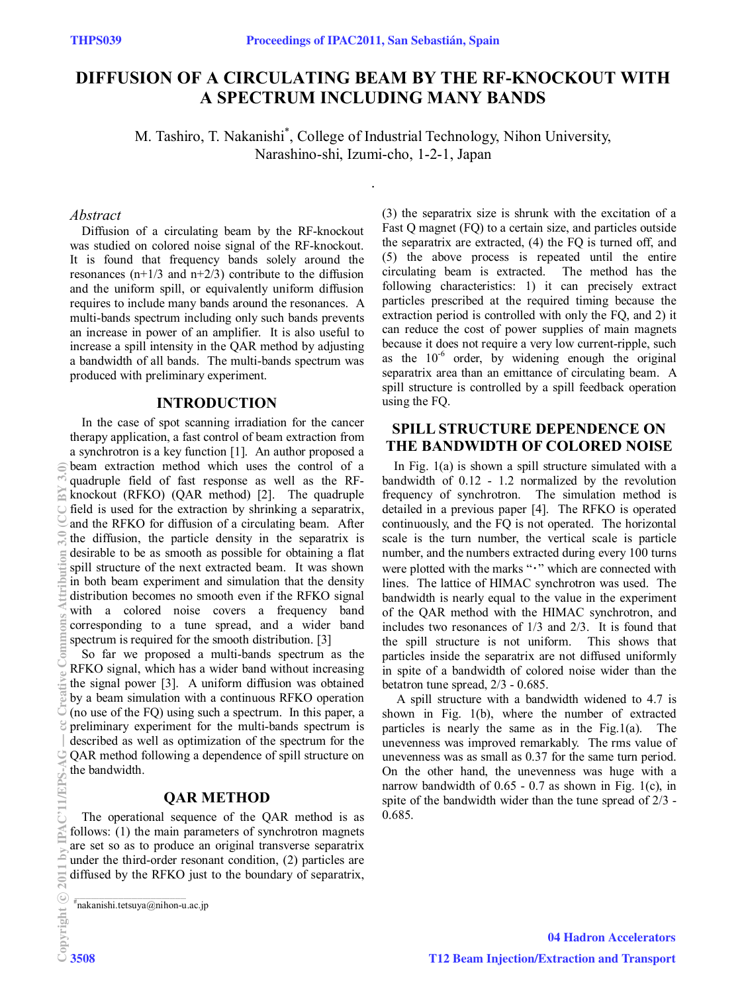# **DIFFUSION OF A CIRCULATING BEAM BY THE RF-KNOCKOUT WITH A SPECTRUM INCLUDING MANY BANDS**

M. Tashiro, T. Nakanishi\* , College of Industrial Technology, Nihon University, Narashino-shi, Izumi-cho, 1-2-1, Japan

.

### *Abstract*

Diffusion of a circulating beam by the RF-knockout was studied on colored noise signal of the RF-knockout. It is found that frequency bands solely around the resonances  $(n+1/3$  and  $n+2/3$ ) contribute to the diffusion and the uniform spill, or equivalently uniform diffusion requires to include many bands around the resonances. A multi-bands spectrum including only such bands prevents an increase in power of an amplifier. It is also useful to increase a spill intensity in the QAR method by adjusting a bandwidth of all bands. The multi-bands spectrum was produced with preliminary experiment.

### **INTRODUCTION**

In the case of spot scanning irradiation for the cancer therapy application, a fast control of beam extraction from a synchrotron is a key function [1]. An author proposed a beam extraction method which uses the control of a quadruple field of fast response as well as the RFknockout (RFKO) (QAR method) [2]. The quadruple field is used for the extraction by shrinking a separatrix, and the RFKO for diffusion of a circulating beam. After the diffusion, the particle density in the separatrix is desirable to be as smooth as possible for obtaining a flat spill structure of the next extracted beam. It was shown in both beam experiment and simulation that the density distribution becomes no smooth even if the RFKO signal with a colored noise covers a frequency band corresponding to a tune spread, and a wider band spectrum is required for the smooth distribution. [3]

So far we proposed a multi-bands spectrum as the RFKO signal, which has a wider band without increasing the signal power [3]. A uniform diffusion was obtained by a beam simulation with a continuous RFKO operation (no use of the FQ) using such a spectrum. In this paper, a preliminary experiment for the multi-bands spectrum is described as well as optimization of the spectrum for the QAR method following a dependence of spill structure on the bandwidth.

## **QAR METHOD**

The operational sequence of the QAR method is as follows: (1) the main parameters of synchrotron magnets are set so as to produce an original transverse separatrix under the third-order resonant condition, (2) particles are diffused by the RFKO just to the boundary of separatrix, (3) the separatrix size is shrunk with the excitation of a Fast Q magnet (FQ) to a certain size, and particles outside the separatrix are extracted, (4) the FQ is turned off, and (5) the above process is repeated until the entire circulating beam is extracted. The method has the following characteristics: 1) it can precisely extract particles prescribed at the required timing because the extraction period is controlled with only the FQ, and 2) it can reduce the cost of power supplies of main magnets because it does not require a very low current-ripple, such as the  $10^{-6}$  order, by widening enough the original separatrix area than an emittance of circulating beam. A spill structure is controlled by a spill feedback operation using the FQ.

# **SPILL STRUCTURE DEPENDENCE ON THE BANDWIDTH OF COLORED NOISE**

In Fig.  $1(a)$  is shown a spill structure simulated with a bandwidth of 0.12 - 1.2 normalized by the revolution frequency of synchrotron. The simulation method is detailed in a previous paper [4]. The RFKO is operated continuously, and the FQ is not operated. The horizontal scale is the turn number, the vertical scale is particle number, and the numbers extracted during every 100 turns were plotted with the marks "· " which are connected with lines. The lattice of HIMAC synchrotron was used. The bandwidth is nearly equal to the value in the experiment of the QAR method with the HIMAC synchrotron, and includes two resonances of 1/3 and 2/3. It is found that the spill structure is not uniform. This shows that particles inside the separatrix are not diffused uniformly in spite of a bandwidth of colored noise wider than the betatron tune spread, 2/3 - 0.685.

 A spill structure with a bandwidth widened to 4.7 is shown in Fig. 1(b), where the number of extracted particles is nearly the same as in the Fig.1(a). The unevenness was improved remarkably. The rms value of unevenness was as small as 0.37 for the same turn period. On the other hand, the unevenness was huge with a narrow bandwidth of  $0.65 - 0.7$  as shown in Fig. 1(c), in spite of the bandwidth wider than the tune spread of 2/3 - 0.685.

 $^{\#}$ nakanishi.tetsuya@nihon-u.ac.jp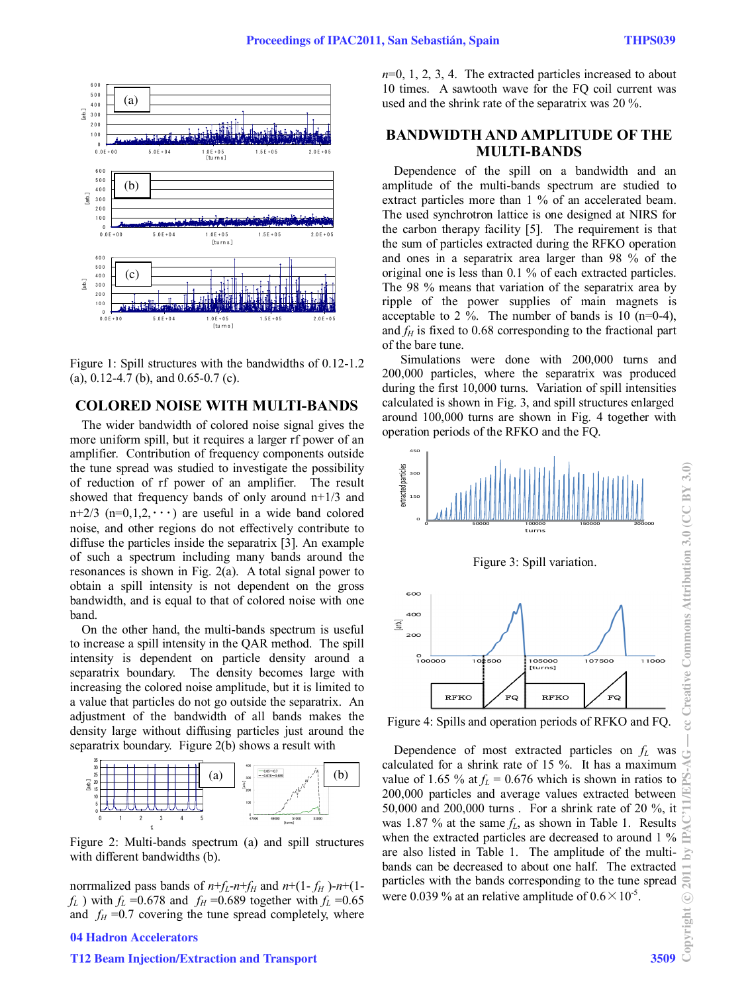

Figure 1: Spill structures with the bandwidths of 0.12-1.2 (a), 0.12-4.7 (b), and 0.65-0.7 (c).

# **COLORED NOISE WITH MULTI-BANDS**

The wider bandwidth of colored noise signal gives the more uniform spill, but it requires a larger rf power of an amplifier. Contribution of frequency components outside the tune spread was studied to investigate the possibility of reduction of rf power of an amplifier. The result showed that frequency bands of only around  $n+1/3$  and n+2/3 (n=0,1,2, $\cdots$ ) are useful in a wide band colored noise, and other regions do not effectively contribute to diffuse the particles inside the separatrix [3]. An example of such a spectrum including many bands around the resonances is shown in Fig. 2(a). A total signal power to obtain a spill intensity is not dependent on the gross bandwidth, and is equal to that of colored noise with one band.

On the other hand, the multi-bands spectrum is useful to increase a spill intensity in the QAR method. The spill intensity is dependent on particle density around a separatrix boundary. The density becomes large with increasing the colored noise amplitude, but it is limited to a value that particles do not go outside the separatrix. An adjustment of the bandwidth of all bands makes the density large without diffusing particles just around the separatrix boundary. Figure 2(b) shows a result with



Figure 2: Multi-bands spectrum (a) and spill structures with different bandwidths (b).

norrmalized pass bands of  $n+f_L-n+f_H$  and  $n+(1-f_H)-n+(1-f_H)$  $f_L$ ) with  $f_L$  =0.678 and  $f_H$  =0.689 together with  $f_L$  =0.65 and  $f_H = 0.7$  covering the tune spread completely, where

#### 04 Hadron Accelerators

#### T12 Beam Injection/Extraction and Transport 3509

*n*=0, 1, 2, 3, 4. The extracted particles increased to about 10 times. A sawtooth wave for the FQ coil current was used and the shrink rate of the separatrix was 20 %.

# **BANDWIDTH AND AMPLITUDE OF THE MULTI-BANDS**

Dependence of the spill on a bandwidth and an amplitude of the multi-bands spectrum are studied to extract particles more than 1 % of an accelerated beam. The used synchrotron lattice is one designed at NIRS for the carbon therapy facility [5]. The requirement is that the sum of particles extracted during the RFKO operation and ones in a separatrix area larger than 98 % of the original one is less than 0.1 % of each extracted particles. The 98 % means that variation of the separatrix area by ripple of the power supplies of main magnets is acceptable to 2 %. The number of bands is 10 (n=0-4), and  $f_H$  is fixed to 0.68 corresponding to the fractional part of the bare tune.

 Simulations were done with 200,000 turns and 200,000 particles, where the separatrix was produced during the first 10,000 turns. Variation of spill intensities calculated is shown in Fig. 3, and spill structures enlarged around 100,000 turns are shown in Fig. 4 together with operation periods of the RFKO and the FQ.



Figure 4: Spills and operation periods of RFKO and FQ.

Dependence of most extracted particles on  $f<sub>L</sub>$  was calculated for a shrink rate of 15 %. It has a maximum value of 1.65 % at  $f_L = 0.676$  which is shown in ratios to 200,000 particles and average values extracted between 50,000 and 200,000 turns . For a shrink rate of 20 %, it was 1.87 % at the same  $f_L$ , as shown in Table 1. Results when the extracted particles are decreased to around 1 % are also listed in Table 1. The amplitude of the multibands can be decreased to about one half. The extracted particles with the bands corresponding to the tune spread were 0.039 % at an relative amplitude of  $0.6 \times 10^{-5}$ .